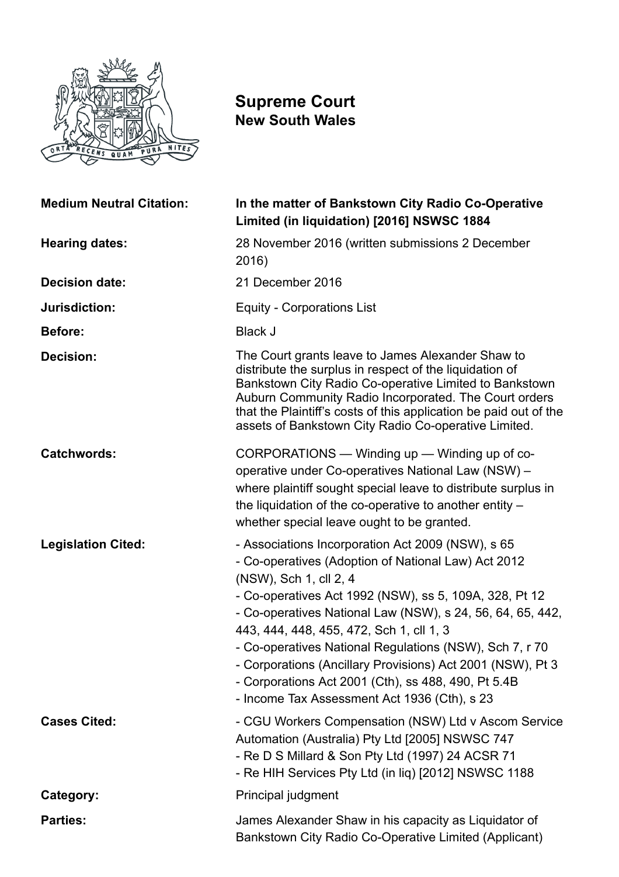

# **Supreme Court New South Wales**

| <b>Medium Neutral Citation:</b> | In the matter of Bankstown City Radio Co-Operative<br>Limited (in liquidation) [2016] NSWSC 1884                                                                                                                                                                                                                                                                                                                                                                                                                                       |
|---------------------------------|----------------------------------------------------------------------------------------------------------------------------------------------------------------------------------------------------------------------------------------------------------------------------------------------------------------------------------------------------------------------------------------------------------------------------------------------------------------------------------------------------------------------------------------|
| <b>Hearing dates:</b>           | 28 November 2016 (written submissions 2 December<br>2016)                                                                                                                                                                                                                                                                                                                                                                                                                                                                              |
| <b>Decision date:</b>           | 21 December 2016                                                                                                                                                                                                                                                                                                                                                                                                                                                                                                                       |
| Jurisdiction:                   | <b>Equity - Corporations List</b>                                                                                                                                                                                                                                                                                                                                                                                                                                                                                                      |
| <b>Before:</b>                  | <b>Black J</b>                                                                                                                                                                                                                                                                                                                                                                                                                                                                                                                         |
| <b>Decision:</b>                | The Court grants leave to James Alexander Shaw to<br>distribute the surplus in respect of the liquidation of<br>Bankstown City Radio Co-operative Limited to Bankstown<br>Auburn Community Radio Incorporated. The Court orders<br>that the Plaintiff's costs of this application be paid out of the<br>assets of Bankstown City Radio Co-operative Limited.                                                                                                                                                                           |
| <b>Catchwords:</b>              | CORPORATIONS — Winding up — Winding up of co-<br>operative under Co-operatives National Law (NSW) -<br>where plaintiff sought special leave to distribute surplus in<br>the liquidation of the co-operative to another entity -<br>whether special leave ought to be granted.                                                                                                                                                                                                                                                          |
| <b>Legislation Cited:</b>       | - Associations Incorporation Act 2009 (NSW), s 65<br>- Co-operatives (Adoption of National Law) Act 2012<br>(NSW), Sch 1, cll 2, 4<br>- Co-operatives Act 1992 (NSW), ss 5, 109A, 328, Pt 12<br>- Co-operatives National Law (NSW), s 24, 56, 64, 65, 442,<br>443, 444, 448, 455, 472, Sch 1, cll 1, 3<br>- Co-operatives National Regulations (NSW), Sch 7, r 70<br>- Corporations (Ancillary Provisions) Act 2001 (NSW), Pt 3<br>- Corporations Act 2001 (Cth), ss 488, 490, Pt 5.4B<br>- Income Tax Assessment Act 1936 (Cth), s 23 |
| <b>Cases Cited:</b>             | - CGU Workers Compensation (NSW) Ltd v Ascom Service<br>Automation (Australia) Pty Ltd [2005] NSWSC 747<br>- Re D S Millard & Son Pty Ltd (1997) 24 ACSR 71<br>- Re HIH Services Pty Ltd (in liq) [2012] NSWSC 1188                                                                                                                                                                                                                                                                                                                    |
| Category:                       | Principal judgment                                                                                                                                                                                                                                                                                                                                                                                                                                                                                                                     |
| <b>Parties:</b>                 | James Alexander Shaw in his capacity as Liquidator of<br>Bankstown City Radio Co-Operative Limited (Applicant)                                                                                                                                                                                                                                                                                                                                                                                                                         |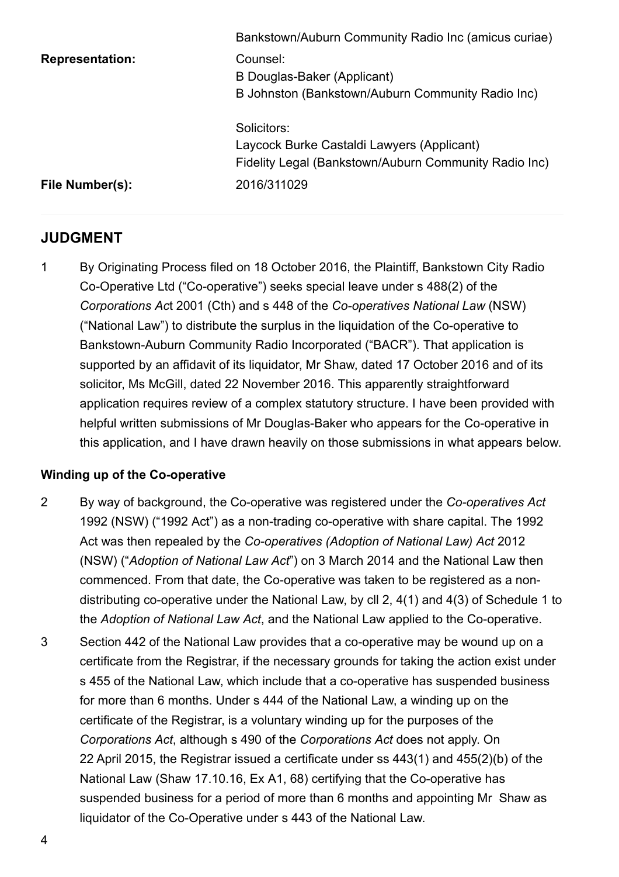|                        | Bankstown/Auburn Community Radio Inc (amicus curiae)                                                               |
|------------------------|--------------------------------------------------------------------------------------------------------------------|
| <b>Representation:</b> | Counsel:<br>B Douglas-Baker (Applicant)<br>B Johnston (Bankstown/Auburn Community Radio Inc)                       |
|                        | Solicitors:<br>Laycock Burke Castaldi Lawyers (Applicant)<br>Fidelity Legal (Bankstown/Auburn Community Radio Inc) |
| File Number(s):        | 2016/311029                                                                                                        |

# **JUDGMENT**

1 By Originating Process filed on 18 October 2016, the Plaintiff, Bankstown City Radio Co-Operative Ltd ("Co-operative") seeks special leave under s 488(2) of the *Corporations Act 2001 (Cth) and s 448 of the <i>Co-operatives National Law (NSW)* ("National Law") to distribute the surplus in the liquidation of the Co-operative to Bankstown-Auburn Community Radio Incorporated ("BACR"). That application is supported by an affidavit of its liquidator, Mr Shaw, dated 17 October 2016 and of its solicitor, Ms McGill, dated 22 November 2016. This apparently straightforward application requires review of a complex statutory structure. I have been provided with helpful written submissions of Mr Douglas-Baker who appears for the Co-operative in this application, and I have drawn heavily on those submissions in what appears below.

## **Winding up of the Co-operative**

- 2 By way of background, the Co-operative was registered under the *Co-operatives Act* 1992 (NSW) ("1992 Act") as a non-trading co-operative with share capital. The 1992 Act was then repealed by the *Co-operatives (Adoption of National Law) Act* 2012 (NSW) ("*Adoption of National Law Act*") on 3 March 2014 and the National Law then commenced. From that date, the Co-operative was taken to be registered as a nondistributing co-operative under the National Law, by cll 2,  $4(1)$  and  $4(3)$  of Schedule 1 to the *Adoption of National Law Act*, and the National Law applied to the Co-operative.
- 3 Section 442 of the National Law provides that a co-operative may be wound up on a certificate from the Registrar, if the necessary grounds for taking the action exist under s 455 of the National Law, which include that a co-operative has suspended business for more than 6 months. Under s 444 of the National Law, a winding up on the certificate of the Registrar, is a voluntary winding up for the purposes of the *Corporations Act*, although s 490 of the *Corporations Act* does not apply. On 22 April 2015, the Registrar issued a certificate under ss 443(1) and 455(2)(b) of the National Law (Shaw 17.10.16, Ex A1, 68) certifying that the Co-operative has suspended business for a period of more than 6 months and appointing Mr Shaw as liquidator of the Co-Operative under s 443 of the National Law.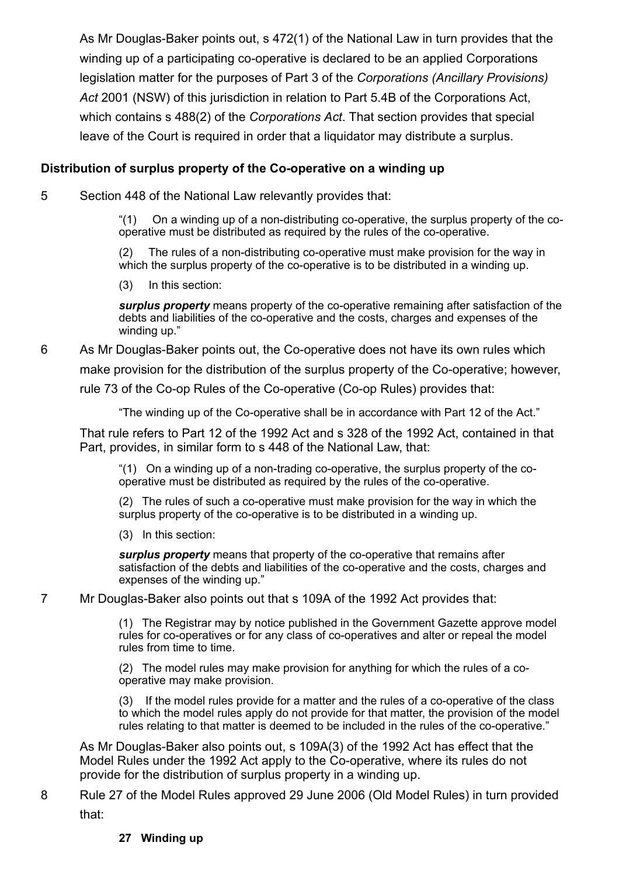As Mr Douglas-Baker points out, s 472(1) of the National Law in turn provides that the winding up of a participating co-operative is declared to be an applied Corporations legislation matter for the purposes of Part 3 of the *Corporations (Ancillary Provisions) Act* 2001 (NSW) of this jurisdiction in relation to Part 5.4B of the Corporations Act, which contains s 488(2) of the *Corporations Act*. That section provides that special leave of the Court is required in order that a liquidator may distribute a surplus.

#### **Distribution of surplus property of the Co-operative on a winding up**

5 Section 448 of the National Law relevantly provides that:

" $(1)$  On a winding up of a non-distributing co-operative, the surplus property of the cooperative must be distributed as required by the rules of the co-operative.

(2) The rules of a non-distributing co-operative must make provision for the way in which the surplus property of the co-operative is to be distributed in a winding up.

(3) In this section:

*surplus property* means property of the co-operative remaining after satisfaction of the debts and liabilities of the co-operative and the costs, charges and expenses of the winding up."

# 6 As Mr Douglas-Baker points out, the Co-operative does not have its own rules which make provision for the distribution of the surplus property of the Co-operative; however, rule 73 of the Co-op Rules of the Co-operative (Co-op Rules) provides that:

"The winding up of the Co-operative shall be in accordance with Part 12 of the Act."

That rule refers to Part 12 of the 1992 Act and s 328 of the 1992 Act, contained in that Part, provides, in similar form to s 448 of the National Law, that:

" $(1)$  On a winding up of a non-trading co-operative, the surplus property of the cooperative must be distributed as required by the rules of the co-operative.

(2) The rules of such a co-operative must make provision for the way in which the surplus property of the co-operative is to be distributed in a winding up.

(3) In this section:

**surplus property** means that property of the co-operative that remains after satisfaction of the debts and liabilities of the co-operative and the costs, charges and expenses of the winding up."

#### 7 Mr Douglas-Baker also points out that s 109A of the 1992 Act provides that:

(1) The Registrar may by notice published in the Government Gazette approve model rules for co-operatives or for any class of co-operatives and alter or repeal the model rules from time to time.

(2) The model rules may make provision for anything for which the rules of a cooperative may make provision.

(3) If the model rules provide for a matter and the rules of a co-operative of the class to which the model rules apply do not provide for that matter, the provision of the model rules relating to that matter is deemed to be included in the rules of the co-operative."

As Mr Douglas-Baker also points out, s 109A(3) of the 1992 Act has effect that the Model Rules under the 1992 Act apply to the Co-operative, where its rules do not provide for the distribution of surplus property in a winding up.

### 8 Rule 27 of the Model Rules approved 29 June 2006 (Old Model Rules) in turn provided that:

#### **27 Winding up**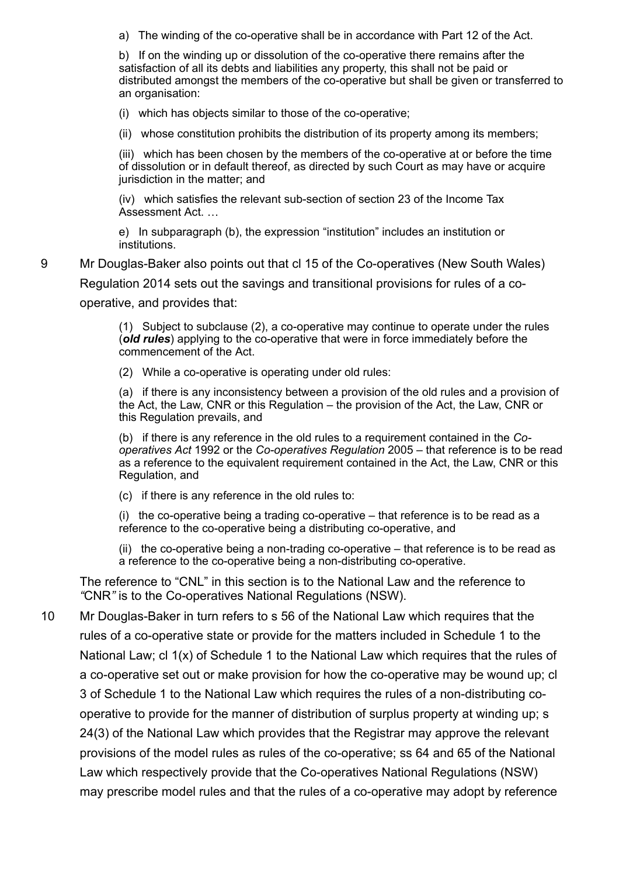a) The winding of the co-operative shall be in accordance with Part 12 of the Act.

b) If on the winding up or dissolution of the co-operative there remains after the satisfaction of all its debts and liabilities any property, this shall not be paid or distributed amongst the members of the co-operative but shall be given or transferred to an organisation:

 $(i)$  which has objects similar to those of the co-operative:

(ii) whose constitution prohibits the distribution of its property among its members;

 $(iii)$  which has been chosen by the members of the co-operative at or before the time of dissolution or in default thereof, as directed by such Court as may have or acquire jurisdiction in the matter; and

 $(iv)$  which satisfies the relevant sub-section of section 23 of the Income Tax Assessment Act. …

e) In subparagraph (b), the expression "institution" includes an institution or institutions.

9 Mr Douglas-Baker also points out that cl 15 of the Co-operatives (New South Wales) Regulation 2014 sets out the savings and transitional provisions for rules of a cooperative, and provides that:

> $(1)$  Subject to subclause  $(2)$ , a co-operative may continue to operate under the rules (old *rules*) applying to the co-operative that were in force immediately before the commencement of the Act.

(2) While a co-operative is operating under old rules:

(a) if there is any inconsistency between a provision of the old rules and a provision of the Act, the Law, CNR or this Regulation – the provision of the Act, the Law, CNR or this Regulation prevails, and

(b) if there is any reference in the old rules to a requirement contained in the *Cooperatives Act* 1992 or the *Co-operatives Regulation* 2005 – that reference is to be read as a reference to the equivalent requirement contained in the Act, the Law, CNR or this Regulation, and

(c) if there is any reference in the old rules to:

(i) the co-operative being a trading co-operative  $-$  that reference is to be read as a reference to the co-operative being a distributing co-operative, and

(ii) the co-operative being a non-trading co-operative  $-$  that reference is to be read as a reference to the co-operative being a non-distributing co-operative.

The reference to "CNL" in this section is to the National Law and the reference to "CNR" is to the Co-operatives National Regulations (NSW).

10 Mr Douglas-Baker in turn refers to s 56 of the National Law which requires that the rules of a co-operative state or provide for the matters included in Schedule 1 to the National Law; cl 1(x) of Schedule 1 to the National Law which requires that the rules of a co-operative set out or make provision for how the co-operative may be wound up; cl 3 of Schedule 1 to the National Law which requires the rules of a non-distributing cooperative to provide for the manner of distribution of surplus property at winding up; s 24(3) of the National Law which provides that the Registrar may approve the relevant provisions of the model rules as rules of the co-operative; ss 64 and 65 of the National Law which respectively provide that the Co-operatives National Regulations (NSW) may prescribe model rules and that the rules of a co-operative may adopt by reference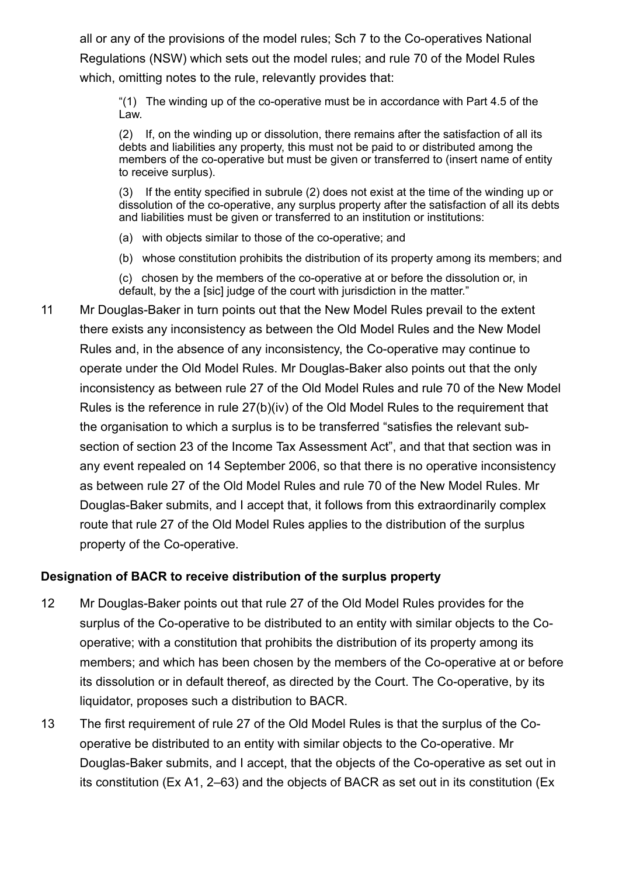all or any of the provisions of the model rules; Sch 7 to the Co-operatives National Regulations (NSW) which sets out the model rules; and rule 70 of the Model Rules which, omitting notes to the rule, relevantly provides that:

" $(1)$  The winding up of the co-operative must be in accordance with Part 4.5 of the Law.

(2) If, on the winding up or dissolution, there remains after the satisfaction of all its debts and liabilities any property, this must not be paid to or distributed among the members of the co-operative but must be given or transferred to (insert name of entity to receive surplus).

If the entity specified in subrule (2) does not exist at the time of the winding up or dissolution of the co-operative, any surplus property after the satisfaction of all its debts and liabilities must be given or transferred to an institution or institutions:

(a) with objects similar to those of the co-operative; and

(b) whose constitution prohibits the distribution of its property among its members; and

(c) chosen by the members of the co-operative at or before the dissolution or, in default, by the a [sic] judge of the court with jurisdiction in the matter."

11 Mr Douglas-Baker in turn points out that the New Model Rules prevail to the extent there exists any inconsistency as between the Old Model Rules and the New Model Rules and, in the absence of any inconsistency, the Co-operative may continue to operate under the Old Model Rules. Mr Douglas-Baker also points out that the only inconsistency as between rule 27 of the Old Model Rules and rule 70 of the New Model Rules is the reference in rule 27(b)(iv) of the Old Model Rules to the requirement that the organisation to which a surplus is to be transferred "satisfies the relevant subsection of section 23 of the Income Tax Assessment Act", and that that section was in any event repealed on 14 September 2006, so that there is no operative inconsistency as between rule 27 of the Old Model Rules and rule 70 of the New Model Rules. Mr Douglas-Baker submits, and I accept that, it follows from this extraordinarily complex route that rule 27 of the Old Model Rules applies to the distribution of the surplus property of the Co-operative.

### **Designation of BACR to receive distribution of the surplus property**

- 12 Mr Douglas-Baker points out that rule 27 of the Old Model Rules provides for the surplus of the Co-operative to be distributed to an entity with similar objects to the Cooperative; with a constitution that prohibits the distribution of its property among its members; and which has been chosen by the members of the Co-operative at or before its dissolution or in default thereof, as directed by the Court. The Co-operative, by its liquidator, proposes such a distribution to BACR.
- 13 The first requirement of rule 27 of the Old Model Rules is that the surplus of the Cooperative be distributed to an entity with similar objects to the Co-operative. Mr Douglas-Baker submits, and I accept, that the objects of the Co-operative as set out in its constitution (Ex A1, 2–63) and the objects of BACR as set out in its constitution (Ex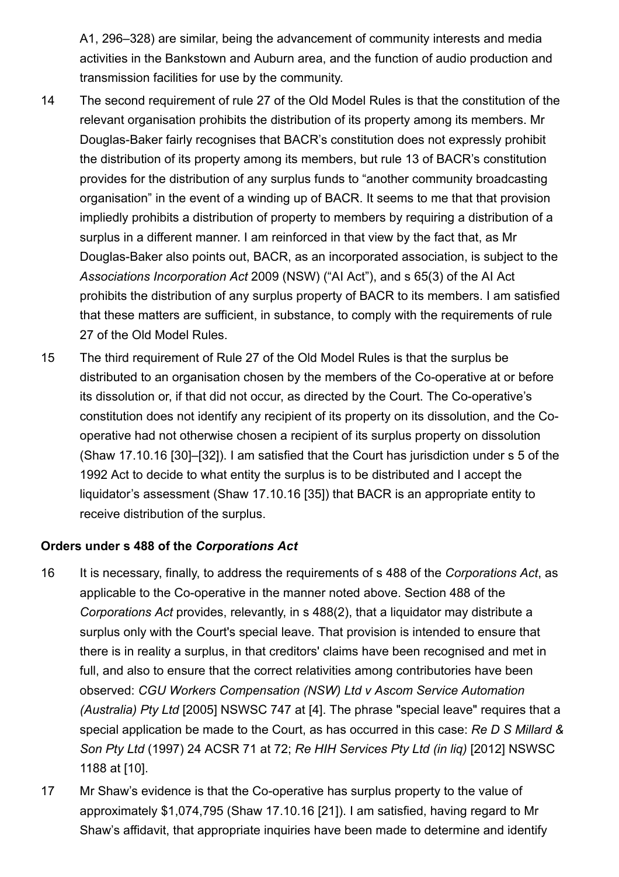A1, 296–328) are similar, being the advancement of community interests and media activities in the Bankstown and Auburn area, and the function of audio production and transmission facilities for use by the community.

- 14 The second requirement of rule 27 of the Old Model Rules is that the constitution of the relevant organisation prohibits the distribution of its property among its members. Mr Douglas-Baker fairly recognises that BACR's constitution does not expressly prohibit the distribution of its property among its members, but rule 13 of BACR's constitution provides for the distribution of any surplus funds to "another community broadcasting organisation" in the event of a winding up of BACR. It seems to me that that provision impliedly prohibits a distribution of property to members by requiring a distribution of a surplus in a different manner. I am reinforced in that view by the fact that, as Mr Douglas-Baker also points out, BACR, as an incorporated association, is subject to the *Associations Incorporation Act* 2009 (NSW) ("AI Act"), and s 65(3) of the AI Act prohibits the distribution of any surplus property of BACR to its members. I am satisfied that these matters are sufficient, in substance, to comply with the requirements of rule 27 of the Old Model Rules.
- 15 The third requirement of Rule 27 of the Old Model Rules is that the surplus be distributed to an organisation chosen by the members of the Co-operative at or before its dissolution or, if that did not occur, as directed by the Court. The Co-operative's constitution does not identify any recipient of its property on its dissolution, and the Cooperative had not otherwise chosen a recipient of its surplus property on dissolution (Shaw 17.10.16 [30]–[32]). I am satisfied that the Court has jurisdiction under s 5 of the 1992 Act to decide to what entity the surplus is to be distributed and I accept the liquidator's assessment (Shaw 17.10.16 [35]) that BACR is an appropriate entity to receive distribution of the surplus.

### **Orders under s 488 of the** *Corporations Act*

- 16 It is necessary, finally, to address the requirements of s 488 of the *Corporations Act*, as applicable to the Co-operative in the manner noted above. Section 488 of the *Corporations Act* provides, relevantly, in s 488(2), that a liquidator may distribute a surplus only with the Court's special leave. That provision is intended to ensure that there is in reality a surplus, in that creditors' claims have been recognised and met in full, and also to ensure that the correct relativities among contributories have been observed: *CGU Workers Compensation (NSW) Ltd v Ascom Service Automation (Australia) Pty Ltd* [2005] NSWSC 747 at [4]. The phrase "special leave" requires that a special application be made to the Court, as has occurred in this case: *Re D S Millard & Son Pty Ltd* (1997) 24 ACSR 71 at 72; *Re HIH Services Pty Ltd (in liq)* [2012] NSWSC 1188 at [10].
- 17 Mr Shaw's evidence is that the Co-operative has surplus property to the value of approximately \$1,074,795 (Shaw 17.10.16 [21]). I am satisfied, having regard to Mr Shaw's affidavit, that appropriate inquiries have been made to determine and identify